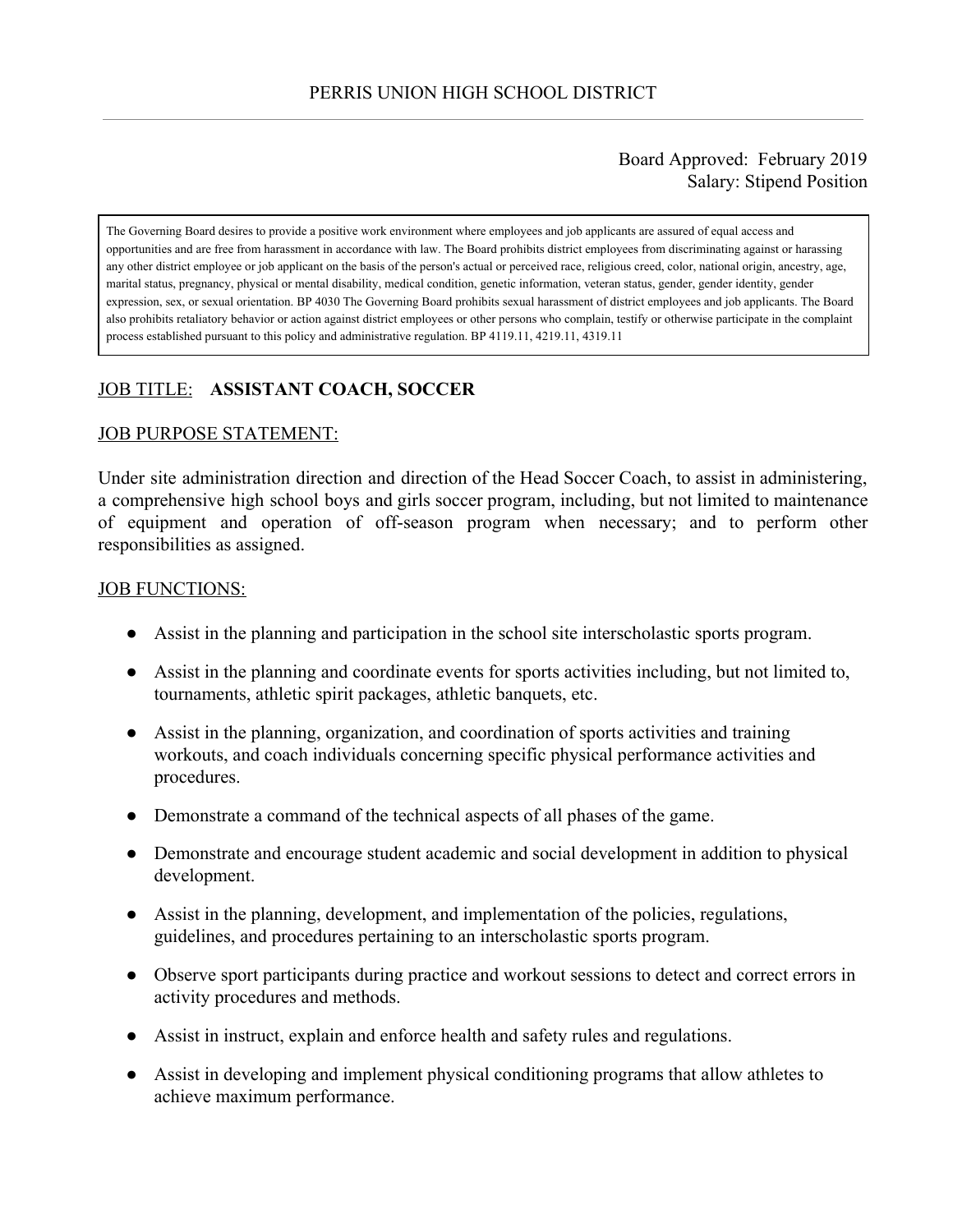### Board Approved: February 2019 Salary: Stipend Position

The Governing Board desires to provide a positive work environment where employees and job applicants are assured of equal access and opportunities and are free from harassment in accordance with law. The Board prohibits district employees from discriminating against or harassing any other district employee or job applicant on the basis of the person's actual or perceived race, religious creed, color, national origin, ancestry, age, marital status, pregnancy, physical or mental disability, medical condition, genetic information, veteran status, gender, gender identity, gender expression, sex, or sexual orientation. BP 4030 The Governing Board prohibits sexual harassment of district employees and job applicants. The Board also prohibits retaliatory behavior or action against district employees or other persons who complain, testify or otherwise participate in the complaint process established pursuant to this policy and administrative regulation. BP 4119.11, 4219.11, 4319.11

# JOB TITLE: **ASSISTANT COACH, SOCCER**

### JOB PURPOSE STATEMENT:

Under site administration direction and direction of the Head Soccer Coach, to assist in administering, a comprehensive high school boys and girls soccer program, including, but not limited to maintenance of equipment and operation of off-season program when necessary; and to perform other responsibilities as assigned.

#### JOB FUNCTIONS:

- Assist in the planning and participation in the school site interscholastic sports program.
- Assist in the planning and coordinate events for sports activities including, but not limited to, tournaments, athletic spirit packages, athletic banquets, etc.
- Assist in the planning, organization, and coordination of sports activities and training workouts, and coach individuals concerning specific physical performance activities and procedures.
- Demonstrate a command of the technical aspects of all phases of the game.
- Demonstrate and encourage student academic and social development in addition to physical development.
- Assist in the planning, development, and implementation of the policies, regulations, guidelines, and procedures pertaining to an interscholastic sports program.
- Observe sport participants during practice and workout sessions to detect and correct errors in activity procedures and methods.
- Assist in instruct, explain and enforce health and safety rules and regulations.
- Assist in developing and implement physical conditioning programs that allow athletes to achieve maximum performance.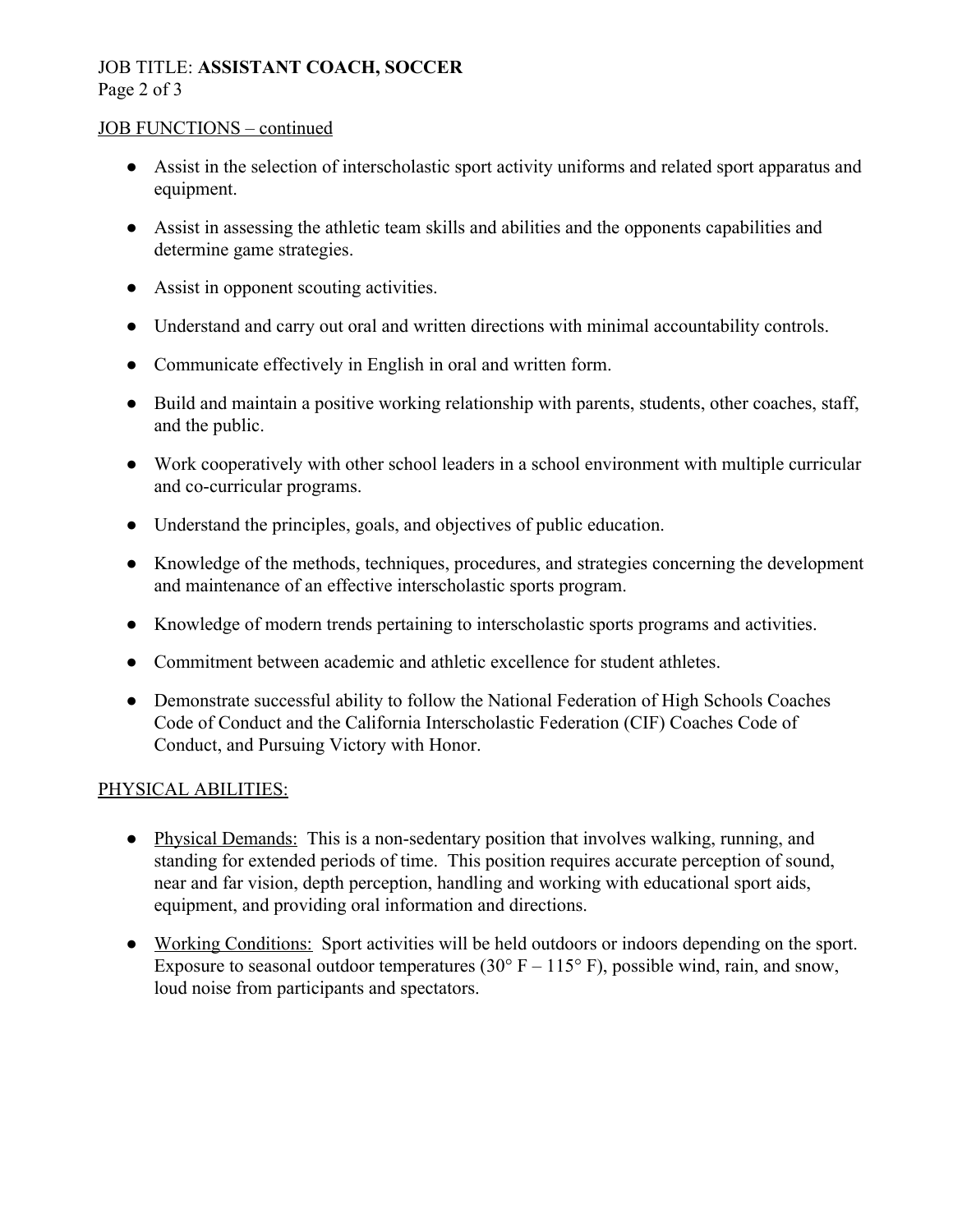## JOB TITLE: **ASSISTANT COACH, SOCCER** Page 2 of 3

### JOB FUNCTIONS – continued

- Assist in the selection of interscholastic sport activity uniforms and related sport apparatus and equipment.
- Assist in assessing the athletic team skills and abilities and the opponents capabilities and determine game strategies.
- Assist in opponent scouting activities.
- Understand and carry out oral and written directions with minimal accountability controls.
- Communicate effectively in English in oral and written form.
- Build and maintain a positive working relationship with parents, students, other coaches, staff, and the public.
- Work cooperatively with other school leaders in a school environment with multiple curricular and co-curricular programs.
- Understand the principles, goals, and objectives of public education.
- Knowledge of the methods, techniques, procedures, and strategies concerning the development and maintenance of an effective interscholastic sports program.
- Knowledge of modern trends pertaining to interscholastic sports programs and activities.
- Commitment between academic and athletic excellence for student athletes.
- Demonstrate successful ability to follow the National Federation of High Schools Coaches Code of Conduct and the California Interscholastic Federation (CIF) Coaches Code of Conduct, and Pursuing Victory with Honor.

## PHYSICAL ABILITIES:

- Physical Demands: This is a non-sedentary position that involves walking, running, and standing for extended periods of time. This position requires accurate perception of sound, near and far vision, depth perception, handling and working with educational sport aids, equipment, and providing oral information and directions.
- Working Conditions: Sport activities will be held outdoors or indoors depending on the sport. Exposure to seasonal outdoor temperatures (30 $\degree$  F – 115 $\degree$  F), possible wind, rain, and snow, loud noise from participants and spectators.